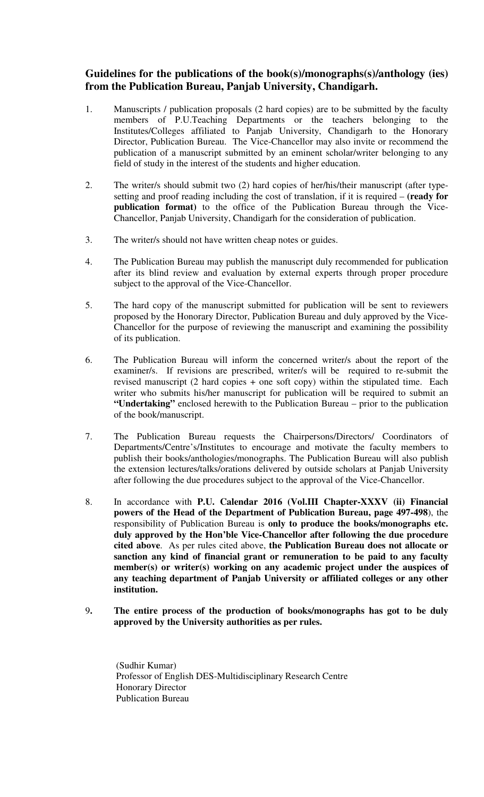## **Guidelines for the publications of the book(s)/monographs(s)/anthology (ies) from the Publication Bureau, Panjab University, Chandigarh.**

- 1. Manuscripts / publication proposals (2 hard copies) are to be submitted by the faculty members of P.U.Teaching Departments or the teachers belonging to the Institutes/Colleges affiliated to Panjab University, Chandigarh to the Honorary Director, Publication Bureau. The Vice-Chancellor may also invite or recommend the publication of a manuscript submitted by an eminent scholar/writer belonging to any field of study in the interest of the students and higher education.
- 2. The writer/s should submit two (2) hard copies of her/his/their manuscript (after typesetting and proof reading including the cost of translation, if it is required – **(ready for publication format)** to the office of the Publication Bureau through the Vice-Chancellor, Panjab University, Chandigarh for the consideration of publication.
- 3. The writer/s should not have written cheap notes or guides.
- 4. The Publication Bureau may publish the manuscript duly recommended for publication after its blind review and evaluation by external experts through proper procedure subject to the approval of the Vice-Chancellor.
- 5. The hard copy of the manuscript submitted for publication will be sent to reviewers proposed by the Honorary Director, Publication Bureau and duly approved by the Vice-Chancellor for the purpose of reviewing the manuscript and examining the possibility of its publication.
- 6. The Publication Bureau will inform the concerned writer/s about the report of the examiner/s. If revisions are prescribed, writer/s will be required to re-submit the revised manuscript (2 hard copies + one soft copy) within the stipulated time. Each writer who submits his/her manuscript for publication will be required to submit an **"Undertaking"** enclosed herewith to the Publication Bureau – prior to the publication of the book/manuscript.
- 7. The Publication Bureau requests the Chairpersons/Directors/ Coordinators of Departments/Centre's/Institutes to encourage and motivate the faculty members to publish their books/anthologies/monographs. The Publication Bureau will also publish the extension lectures/talks/orations delivered by outside scholars at Panjab University after following the due procedures subject to the approval of the Vice-Chancellor.
- 8. In accordance with **P.U. Calendar 2016 (Vol.III Chapter-XXXV (ii) Financial powers of the Head of the Department of Publication Bureau, page 497-498**), the responsibility of Publication Bureau is **only to produce the books/monographs etc. duly approved by the Hon'ble Vice-Chancellor after following the due procedure cited above**. As per rules cited above, **the Publication Bureau does not allocate or sanction any kind of financial grant or remuneration to be paid to any faculty member(s) or writer(s) working on any academic project under the auspices of any teaching department of Panjab University or affiliated colleges or any other institution.**
- 9**. The entire process of the production of books/monographs has got to be duly approved by the University authorities as per rules.**

 (Sudhir Kumar) Professor of English DES-Multidisciplinary Research Centre Honorary Director Publication Bureau